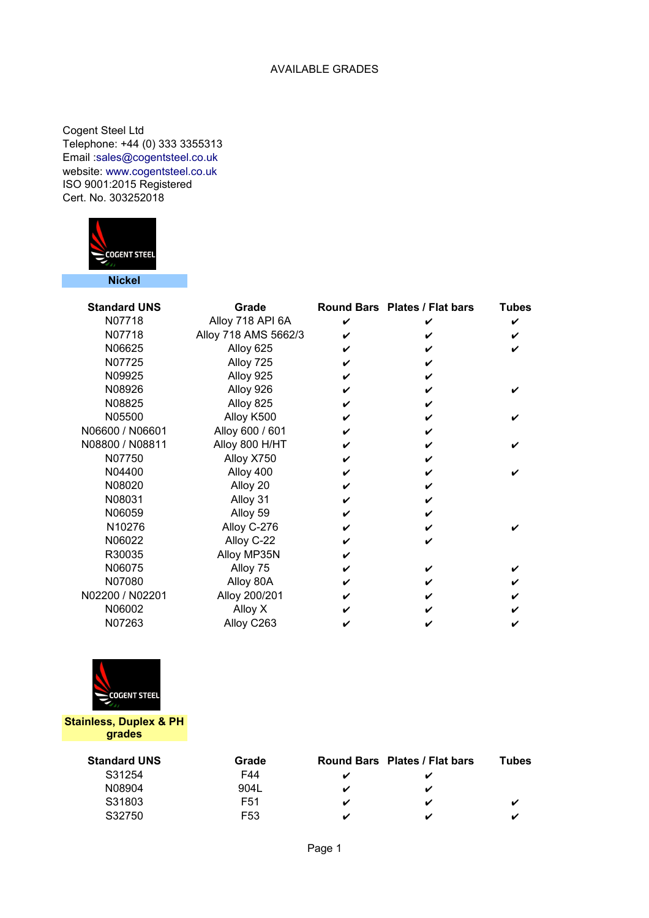## AVAILABLE GRADES

Cogent Steel Ltd Telephone: +44 (0) 333 3355313 ISO 9001:2015 Registered Cert. No. 303252018 Email [:sales@cogentsteel.co.uk](mailto:sales@cogentsteel.co.uk) website: www.cogentsteel.co.uk



| <b>Standard UNS</b> | Grade                |   | Round Bars Plates / Flat bars | <b>Tubes</b> |
|---------------------|----------------------|---|-------------------------------|--------------|
| N07718              | Alloy 718 API 6A     |   |                               |              |
| N07718              | Alloy 718 AMS 5662/3 | ✔ |                               |              |
| N06625              | Alloy 625            |   |                               |              |
| N07725              | Alloy 725            |   |                               |              |
| N09925              | Alloy 925            |   |                               |              |
| N08926              | Alloy 926            |   |                               |              |
| N08825              | Alloy 825            |   |                               |              |
| N05500              | Alloy K500           |   |                               |              |
| N06600 / N06601     | Alloy 600 / 601      |   |                               |              |
| N08800 / N08811     | Alloy 800 H/HT       |   |                               |              |
| N07750              | Alloy X750           |   |                               |              |
| N04400              | Alloy 400            |   |                               |              |
| N08020              | Alloy 20             |   |                               |              |
| N08031              | Alloy 31             |   |                               |              |
| N06059              | Alloy 59             |   |                               |              |
| N10276              | Alloy C-276          |   |                               |              |
| N06022              | Alloy C-22           |   |                               |              |
| R30035              | Alloy MP35N          |   |                               |              |
| N06075              | Alloy 75             | V |                               |              |
| N07080              | Alloy 80A            |   |                               |              |
| N02200 / N02201     | Alloy 200/201        |   |                               |              |
| N06002              | Alloy X              |   |                               |              |
| N07263              | Alloy C263           |   |                               |              |



**Stainless, Duplex & PH grades**

| <b>Standard UNS</b> | Grade           |   | Round Bars Plates / Flat bars | Tubes |
|---------------------|-----------------|---|-------------------------------|-------|
| S31254              | F44             |   |                               |       |
| N08904              | 904L            |   | ✔                             |       |
| S31803              | F <sub>51</sub> | ✔ | ✔                             |       |
| S32750              | F53             |   | ✔                             | ✔     |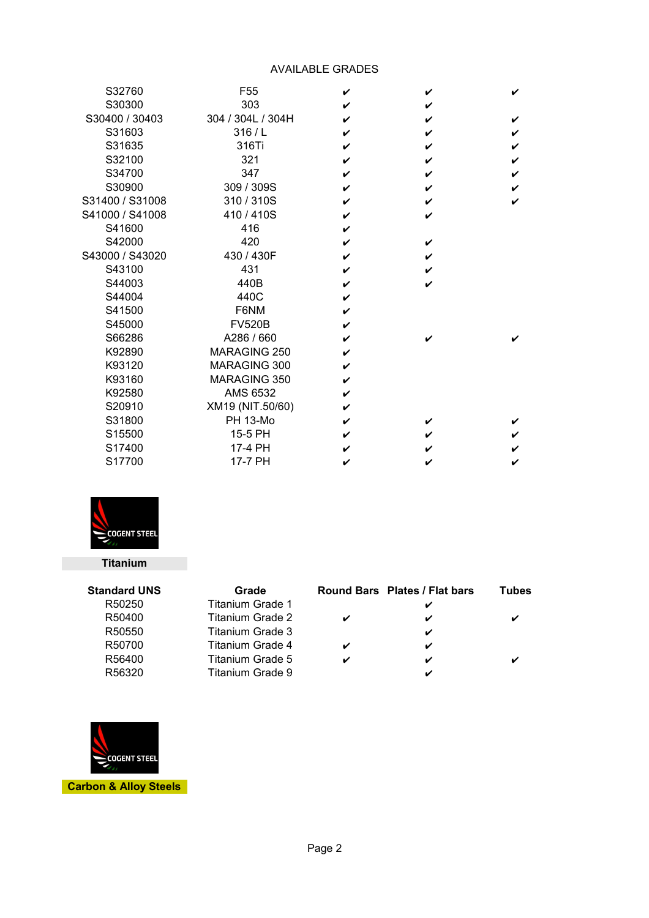## AVAILABLE GRADES

| S32760          | F <sub>55</sub>   | ✔ | V | ✓ |
|-----------------|-------------------|---|---|---|
| S30300          | 303               |   |   |   |
| S30400 / 30403  | 304 / 304L / 304H | ✔ | V | ✔ |
| S31603          | 316/L             | ✔ | ✔ | V |
| S31635          | 316Ti             | ✔ | V | V |
| S32100          | 321               | ✔ | V | V |
| S34700          | 347               | ✔ | ✔ | ✔ |
| S30900          | 309 / 309S        |   | V |   |
| S31400 / S31008 | 310/310S          | ✓ | V | ✓ |
| S41000 / S41008 | 410/410S          | ✔ |   |   |
| S41600          | 416               | ✔ |   |   |
| S42000          | 420               | ✔ | V |   |
| S43000 / S43020 | 430 / 430F        | ✔ | V |   |
| S43100          | 431               | ✔ |   |   |
| S44003          | 440B              | ✔ | V |   |
| S44004          | 440C              | ✔ |   |   |
| S41500          | F6NM              |   |   |   |
| S45000          | <b>FV520B</b>     | ✓ |   |   |
| S66286          | A286 / 660        | ✔ |   |   |
| K92890          | MARAGING 250      |   |   |   |
| K93120          | MARAGING 300      | V |   |   |
| K93160          | MARAGING 350      | ✔ |   |   |
| K92580          | AMS 6532          | ✔ |   |   |
| S20910          | XM19 (NIT.50/60)  | ✔ |   |   |
| S31800          | <b>PH 13-Mo</b>   | ✔ | V |   |
| S15500          | 15-5 PH           | ✔ |   |   |
| S17400          | 17-4 PH           |   |   |   |
| S17700          | 17-7 PH           |   |   |   |



## **Titanium**

| <b>Standard UNS</b> | Grade            |   | Round Bars Plates / Flat bars | Tubes |
|---------------------|------------------|---|-------------------------------|-------|
| R50250              | Titanium Grade 1 |   |                               |       |
| R50400              | Titanium Grade 2 |   |                               |       |
| R50550              | Titanium Grade 3 |   | V                             |       |
| R50700              | Titanium Grade 4 |   |                               |       |
| R56400              | Titanium Grade 5 | ✓ | ✔                             |       |
| R56320              | Titanium Grade 9 |   |                               |       |



**Carbon & Alloy Steels**